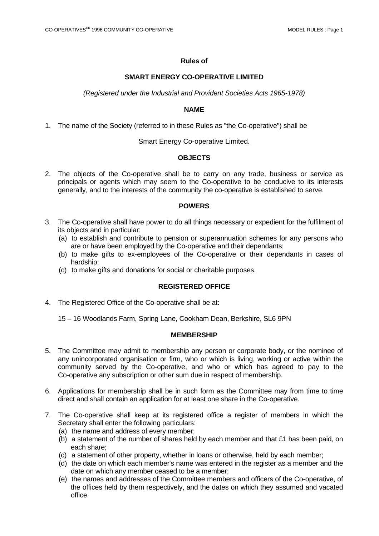## **Rules of**

## **SMART ENERGY CO-OPERATIVE LIMITED**

*(Registered under the Industrial and Provident Societies Acts 1965-1978)*

### **NAME**

1. The name of the Society (referred to in these Rules as "the Co-operative") shall be

Smart Energy Co-operative Limited.

## **OBJECTS**

2. The objects of the Co-operative shall be to carry on any trade, business or service as principals or agents which may seem to the Co-operative to be conducive to its interests generally, and to the interests of the community the co-operative is established to serve.

### **POWERS**

- 3. The Co-operative shall have power to do all things necessary or expedient for the fulfilment of its objects and in particular:
	- (a) to establish and contribute to pension or superannuation schemes for any persons who are or have been employed by the Co-operative and their dependants;
	- (b) to make gifts to ex-employees of the Co-operative or their dependants in cases of hardship;
	- (c) to make gifts and donations for social or charitable purposes.

## **REGISTERED OFFICE**

4. The Registered Office of the Co-operative shall be at:

15 – 16 Woodlands Farm, Spring Lane, Cookham Dean, Berkshire, SL6 9PN

#### **MEMBERSHIP**

- 5. The Committee may admit to membership any person or corporate body, or the nominee of any unincorporated organisation or firm, who or which is living, working or active within the community served by the Co-operative, and who or which has agreed to pay to the Co-operative any subscription or other sum due in respect of membership.
- 6. Applications for membership shall be in such form as the Committee may from time to time direct and shall contain an application for at least one share in the Co-operative.
- 7. The Co-operative shall keep at its registered office a register of members in which the Secretary shall enter the following particulars:
	- (a) the name and address of every member;
	- (b) a statement of the number of shares held by each member and that £1 has been paid, on each share;
	- (c) a statement of other property, whether in loans or otherwise, held by each member;
	- (d) the date on which each member's name was entered in the register as a member and the date on which any member ceased to be a member;
	- (e) the names and addresses of the Committee members and officers of the Co-operative, of the offices held by them respectively, and the dates on which they assumed and vacated office.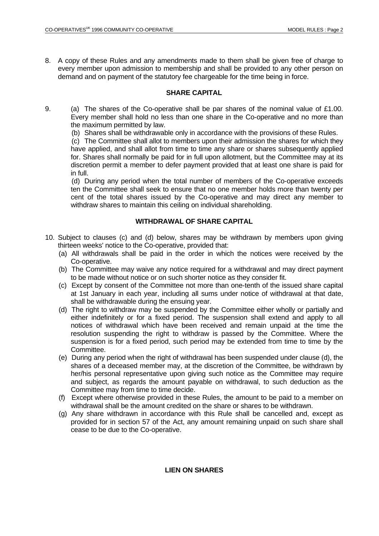8. A copy of these Rules and any amendments made to them shall be given free of charge to every member upon admission to membership and shall be provided to any other person on demand and on payment of the statutory fee chargeable for the time being in force.

### **SHARE CAPITAL**

9. (a) The shares of the Co-operative shall be par shares of the nominal value of £1.00. Every member shall hold no less than one share in the Co-operative and no more than the maximum permitted by law.

(b) Shares shall be withdrawable only in accordance with the provisions of these Rules.

 (c) The Committee shall allot to members upon their admission the shares for which they have applied, and shall allot from time to time any share or shares subsequently applied for. Shares shall normally be paid for in full upon allotment, but the Committee may at its discretion permit a member to defer payment provided that at least one share is paid for in full.

 (d) During any period when the total number of members of the Co-operative exceeds ten the Committee shall seek to ensure that no one member holds more than twenty per cent of the total shares issued by the Co-operative and may direct any member to withdraw shares to maintain this ceiling on individual shareholding.

### **WITHDRAWAL OF SHARE CAPITAL**

- 10. Subject to clauses (c) and (d) below, shares may be withdrawn by members upon giving thirteen weeks' notice to the Co-operative, provided that:
	- (a) All withdrawals shall be paid in the order in which the notices were received by the Co-operative.
	- (b) The Committee may waive any notice required for a withdrawal and may direct payment to be made without notice or on such shorter notice as they consider fit.
	- (c) Except by consent of the Committee not more than one-tenth of the issued share capital at 1st January in each year, including all sums under notice of withdrawal at that date, shall be withdrawable during the ensuing year.
	- (d) The right to withdraw may be suspended by the Committee either wholly or partially and either indefinitely or for a fixed period. The suspension shall extend and apply to all notices of withdrawal which have been received and remain unpaid at the time the resolution suspending the right to withdraw is passed by the Committee. Where the suspension is for a fixed period, such period may be extended from time to time by the Committee.
	- (e) During any period when the right of withdrawal has been suspended under clause (d), the shares of a deceased member may, at the discretion of the Committee, be withdrawn by her/his personal representative upon giving such notice as the Committee may require and subject, as regards the amount payable on withdrawal, to such deduction as the Committee may from time to time decide.
	- (f) Except where otherwise provided in these Rules, the amount to be paid to a member on withdrawal shall be the amount credited on the share or shares to be withdrawn.
	- (g) Any share withdrawn in accordance with this Rule shall be cancelled and, except as provided for in section 57 of the Act, any amount remaining unpaid on such share shall cease to be due to the Co-operative.

#### **LIEN ON SHARES**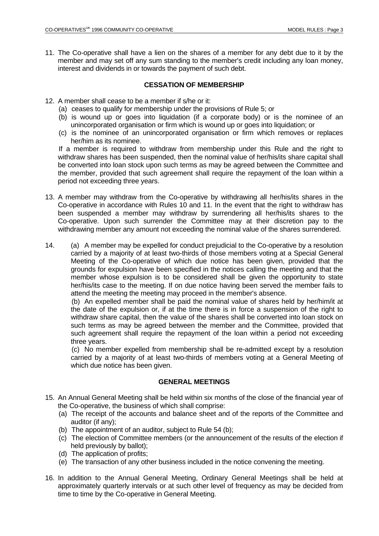11. The Co-operative shall have a lien on the shares of a member for any debt due to it by the member and may set off any sum standing to the member's credit including any loan money, interest and dividends in or towards the payment of such debt.

## **CESSATION OF MEMBERSHIP**

- 12. A member shall cease to be a member if s/he or it:
	- (a) ceases to qualify for membership under the provisions of Rule 5; or
	- (b) is wound up or goes into liquidation (if a corporate body) or is the nominee of an unincorporated organisation or firm which is wound up or goes into liquidation; or
	- (c) is the nominee of an unincorporated organisation or firm which removes or replaces her/him as its nominee.

 If a member is required to withdraw from membership under this Rule and the right to withdraw shares has been suspended, then the nominal value of her/his/its share capital shall be converted into loan stock upon such terms as may be agreed between the Committee and the member, provided that such agreement shall require the repayment of the loan within a period not exceeding three years.

- 13. A member may withdraw from the Co-operative by withdrawing all her/his/its shares in the Co-operative in accordance with Rules 10 and 11. In the event that the right to withdraw has been suspended a member may withdraw by surrendering all her/his/its shares to the Co-operative. Upon such surrender the Committee may at their discretion pay to the withdrawing member any amount not exceeding the nominal value of the shares surrendered.
- 14. (a) A member may be expelled for conduct prejudicial to the Co-operative by a resolution carried by a majority of at least two-thirds of those members voting at a Special General Meeting of the Co-operative of which due notice has been given, provided that the grounds for expulsion have been specified in the notices calling the meeting and that the member whose expulsion is to be considered shall be given the opportunity to state her/his/its case to the meeting. If on due notice having been served the member fails to attend the meeting the meeting may proceed in the member's absence.

 (b) An expelled member shall be paid the nominal value of shares held by her/him/it at the date of the expulsion or, if at the time there is in force a suspension of the right to withdraw share capital, then the value of the shares shall be converted into loan stock on such terms as may be agreed between the member and the Committee, provided that such agreement shall require the repayment of the loan within a period not exceeding three years.

 (c) No member expelled from membership shall be re-admitted except by a resolution carried by a majority of at least two-thirds of members voting at a General Meeting of which due notice has been given.

#### **GENERAL MEETINGS**

- 15. An Annual General Meeting shall be held within six months of the close of the financial year of the Co-operative, the business of which shall comprise:
	- (a) The receipt of the accounts and balance sheet and of the reports of the Committee and auditor (if any);
	- (b) The appointment of an auditor, subject to Rule 54 (b);
	- (c) The election of Committee members (or the announcement of the results of the election if held previously by ballot);
	- (d) The application of profits;
	- (e) The transaction of any other business included in the notice convening the meeting.
- 16. In addition to the Annual General Meeting, Ordinary General Meetings shall be held at approximately quarterly intervals or at such other level of frequency as may be decided from time to time by the Co-operative in General Meeting.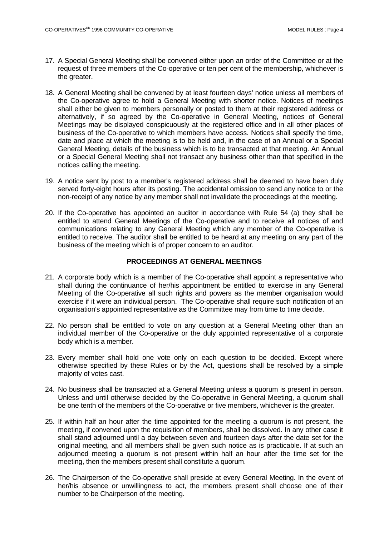- 17. A Special General Meeting shall be convened either upon an order of the Committee or at the request of three members of the Co-operative or ten per cent of the membership, whichever is the greater.
- 18. A General Meeting shall be convened by at least fourteen days' notice unless all members of the Co-operative agree to hold a General Meeting with shorter notice. Notices of meetings shall either be given to members personally or posted to them at their registered address or alternatively, if so agreed by the Co-operative in General Meeting, notices of General Meetings may be displayed conspicuously at the registered office and in all other places of business of the Co-operative to which members have access. Notices shall specify the time, date and place at which the meeting is to be held and, in the case of an Annual or a Special General Meeting, details of the business which is to be transacted at that meeting. An Annual or a Special General Meeting shall not transact any business other than that specified in the notices calling the meeting.
- 19. A notice sent by post to a member's registered address shall be deemed to have been duly served forty-eight hours after its posting. The accidental omission to send any notice to or the non-receipt of any notice by any member shall not invalidate the proceedings at the meeting.
- 20. If the Co-operative has appointed an auditor in accordance with Rule 54 (a) they shall be entitled to attend General Meetings of the Co-operative and to receive all notices of and communications relating to any General Meeting which any member of the Co-operative is entitled to receive. The auditor shall be entitled to be heard at any meeting on any part of the business of the meeting which is of proper concern to an auditor.

### **PROCEEDINGS AT GENERAL MEETINGS**

- 21. A corporate body which is a member of the Co-operative shall appoint a representative who shall during the continuance of her/his appointment be entitled to exercise in any General Meeting of the Co-operative all such rights and powers as the member organisation would exercise if it were an individual person. The Co-operative shall require such notification of an organisation's appointed representative as the Committee may from time to time decide.
- 22. No person shall be entitled to vote on any question at a General Meeting other than an individual member of the Co-operative or the duly appointed representative of a corporate body which is a member.
- 23. Every member shall hold one vote only on each question to be decided. Except where otherwise specified by these Rules or by the Act, questions shall be resolved by a simple majority of votes cast.
- 24. No business shall be transacted at a General Meeting unless a quorum is present in person. Unless and until otherwise decided by the Co-operative in General Meeting, a quorum shall be one tenth of the members of the Co-operative or five members, whichever is the greater.
- 25. If within half an hour after the time appointed for the meeting a quorum is not present, the meeting, if convened upon the requisition of members, shall be dissolved. In any other case it shall stand adjourned until a day between seven and fourteen days after the date set for the original meeting, and all members shall be given such notice as is practicable. If at such an adjourned meeting a quorum is not present within half an hour after the time set for the meeting, then the members present shall constitute a quorum.
- 26. The Chairperson of the Co-operative shall preside at every General Meeting. In the event of her/his absence or unwillingness to act, the members present shall choose one of their number to be Chairperson of the meeting.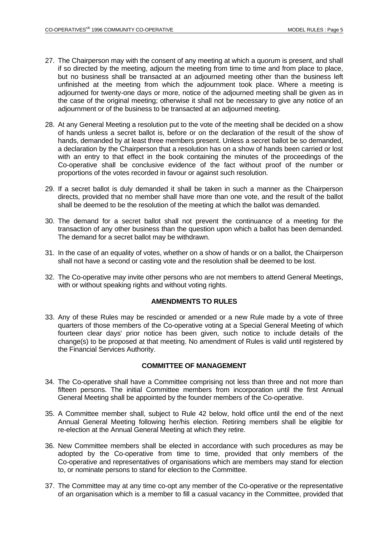- 27. The Chairperson may with the consent of any meeting at which a quorum is present, and shall if so directed by the meeting, adjourn the meeting from time to time and from place to place, but no business shall be transacted at an adjourned meeting other than the business left unfinished at the meeting from which the adjournment took place. Where a meeting is adjourned for twenty-one days or more, notice of the adjourned meeting shall be given as in the case of the original meeting; otherwise it shall not be necessary to give any notice of an adjournment or of the business to be transacted at an adjourned meeting.
- 28. At any General Meeting a resolution put to the vote of the meeting shall be decided on a show of hands unless a secret ballot is, before or on the declaration of the result of the show of hands, demanded by at least three members present. Unless a secret ballot be so demanded, a declaration by the Chairperson that a resolution has on a show of hands been carried or lost with an entry to that effect in the book containing the minutes of the proceedings of the Co-operative shall be conclusive evidence of the fact without proof of the number or proportions of the votes recorded in favour or against such resolution.
- 29. If a secret ballot is duly demanded it shall be taken in such a manner as the Chairperson directs, provided that no member shall have more than one vote, and the result of the ballot shall be deemed to be the resolution of the meeting at which the ballot was demanded.
- 30. The demand for a secret ballot shall not prevent the continuance of a meeting for the transaction of any other business than the question upon which a ballot has been demanded. The demand for a secret ballot may be withdrawn.
- 31. In the case of an equality of votes, whether on a show of hands or on a ballot, the Chairperson shall not have a second or casting vote and the resolution shall be deemed to be lost.
- 32. The Co-operative may invite other persons who are not members to attend General Meetings, with or without speaking rights and without voting rights.

#### **AMENDMENTS TO RULES**

33. Any of these Rules may be rescinded or amended or a new Rule made by a vote of three quarters of those members of the Co-operative voting at a Special General Meeting of which fourteen clear days' prior notice has been given, such notice to include details of the change(s) to be proposed at that meeting. No amendment of Rules is valid until registered by the Financial Services Authority.

#### **COMMITTEE OF MANAGEMENT**

- 34. The Co-operative shall have a Committee comprising not less than three and not more than fifteen persons. The initial Committee members from incorporation until the first Annual General Meeting shall be appointed by the founder members of the Co-operative.
- 35. A Committee member shall, subject to Rule 42 below, hold office until the end of the next Annual General Meeting following her/his election. Retiring members shall be eligible for re-election at the Annual General Meeting at which they retire.
- 36. New Committee members shall be elected in accordance with such procedures as may be adopted by the Co-operative from time to time, provided that only members of the Co-operative and representatives of organisations which are members may stand for election to, or nominate persons to stand for election to the Committee.
- 37. The Committee may at any time co-opt any member of the Co-operative or the representative of an organisation which is a member to fill a casual vacancy in the Committee, provided that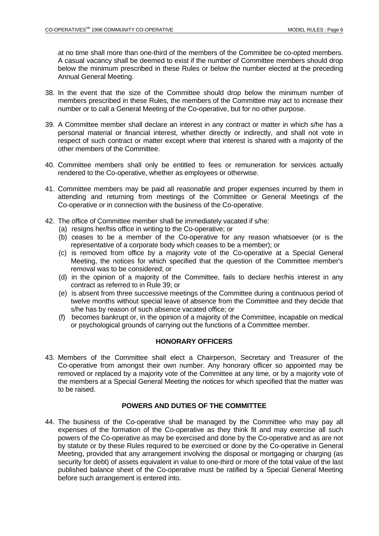at no time shall more than one-third of the members of the Committee be co-opted members. A casual vacancy shall be deemed to exist if the number of Committee members should drop below the minimum prescribed in these Rules or below the number elected at the preceding Annual General Meeting.

- 38. In the event that the size of the Committee should drop below the minimum number of members prescribed in these Rules, the members of the Committee may act to increase their number or to call a General Meeting of the Co-operative, but for no other purpose.
- 39. A Committee member shall declare an interest in any contract or matter in which s/he has a personal material or financial interest, whether directly or indirectly, and shall not vote in respect of such contract or matter except where that interest is shared with a majority of the other members of the Committee.
- 40. Committee members shall only be entitled to fees or remuneration for services actually rendered to the Co-operative, whether as employees or otherwise.
- 41. Committee members may be paid all reasonable and proper expenses incurred by them in attending and returning from meetings of the Committee or General Meetings of the Co-operative or in connection with the business of the Co-operative.
- 42. The office of Committee member shall be immediately vacated if s/he:
	- (a) resigns her/his office in writing to the Co-operative; or
	- (b) ceases to be a member of the Co-operative for any reason whatsoever (or is the representative of a corporate body which ceases to be a member); or
	- (c) is removed from office by a majority vote of the Co-operative at a Special General Meeting, the notices for which specified that the question of the Committee member's removal was to be considered; or
	- (d) in the opinion of a majority of the Committee, fails to declare her/his interest in any contract as referred to in Rule 39; or
	- (e) is absent from three successive meetings of the Committee during a continuous period of twelve months without special leave of absence from the Committee and they decide that s/he has by reason of such absence vacated office; or
	- (f) becomes bankrupt or, in the opinion of a majority of the Committee, incapable on medical or psychological grounds of carrying out the functions of a Committee member.

## **HONORARY OFFICERS**

43. Members of the Committee shall elect a Chairperson, Secretary and Treasurer of the Co-operative from amongst their own number. Any honorary officer so appointed may be removed or replaced by a majority vote of the Committee at any time, or by a majority vote of the members at a Special General Meeting the notices for which specified that the matter was to be raised.

## **POWERS AND DUTIES OF THE COMMITTEE**

44. The business of the Co-operative shall be managed by the Committee who may pay all expenses of the formation of the Co-operative as they think fit and may exercise all such powers of the Co-operative as may be exercised and done by the Co-operative and as are not by statute or by these Rules required to be exercised or done by the Co-operative in General Meeting, provided that any arrangement involving the disposal or mortgaging or charging (as security for debt) of assets equivalent in value to one-third or more of the total value of the last published balance sheet of the Co-operative must be ratified by a Special General Meeting before such arrangement is entered into.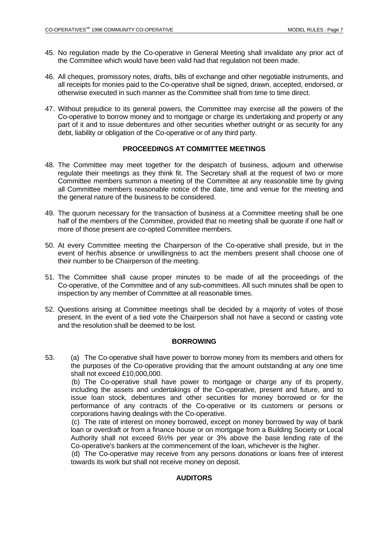- 45. No regulation made by the Co-operative in General Meeting shall invalidate any prior act of the Committee which would have been valid had that regulation not been made.
- 46. All cheques, promissory notes, drafts, bills of exchange and other negotiable instruments, and all receipts for monies paid to the Co-operative shall be signed, drawn, accepted, endorsed, or otherwise executed in such manner as the Committee shall from time to time direct.
- 47. Without prejudice to its general powers, the Committee may exercise all the powers of the Co-operative to borrow money and to mortgage or charge its undertaking and property or any part of it and to issue debentures and other securities whether outright or as security for any debt, liability or obligation of the Co-operative or of any third party.

#### **PROCEEDINGS AT COMMITTEE MEETINGS**

- 48. The Committee may meet together for the despatch of business, adjourn and otherwise regulate their meetings as they think fit. The Secretary shall at the request of two or more Committee members summon a meeting of the Committee at any reasonable time by giving all Committee members reasonable notice of the date, time and venue for the meeting and the general nature of the business to be considered.
- 49. The quorum necessary for the transaction of business at a Committee meeting shall be one half of the members of the Committee, provided that no meeting shall be quorate if one half or more of those present are co-opted Committee members.
- 50. At every Committee meeting the Chairperson of the Co-operative shall preside, but in the event of her/his absence or unwillingness to act the members present shall choose one of their number to be Chairperson of the meeting.
- 51. The Committee shall cause proper minutes to be made of all the proceedings of the Co-operative, of the Committee and of any sub-committees. All such minutes shall be open to inspection by any member of Committee at all reasonable times.
- 52. Questions arising at Committee meetings shall be decided by a majority of votes of those present. In the event of a tied vote the Chairperson shall not have a second or casting vote and the resolution shall be deemed to be lost.

#### **BORROWING**

53. (a) The Co-operative shall have power to borrow money from its members and others for the purposes of the Co-operative providing that the amount outstanding at any one time shall not exceed £10,000,000.

 (b) The Co-operative shall have power to mortgage or charge any of its property, including the assets and undertakings of the Co-operative, present and future, and to issue loan stock, debentures and other securities for money borrowed or for the performance of any contracts of the Co-operative or its customers or persons or corporations having dealings with the Co-operative.

 (c) The rate of interest on money borrowed, except on money borrowed by way of bank loan or overdraft or from a finance house or on mortgage from a Building Society or Local Authority shall not exceed 6½% per year or 3% above the base lending rate of the Co-operative's bankers at the commencement of the loan, whichever is the higher.

 (d) The Co-operative may receive from any persons donations or loans free of interest towards its work but shall not receive money on deposit.

## **AUDITORS**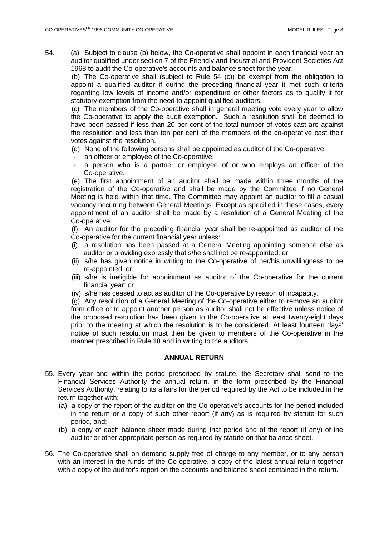54. (a) Subject to clause (b) below, the Co-operative shall appoint in each financial year an auditor qualified under section 7 of the Friendly and Industrial and Provident Societies Act 1968 to audit the Co-operative's accounts and balance sheet for the year.

 (b) The Co-operative shall (subject to Rule 54 (c)) be exempt from the obligation to appoint a qualified auditor if during the preceding financial year it met such criteria regarding low levels of income and/or expenditure or other factors as to qualify it for statutory exemption from the need to appoint qualified auditors.

 (c) The members of the Co-operative shall in general meeting vote every year to allow the Co-operative to apply the audit exemption. Such a resolution shall be deemed to have been passed if less than 20 per cent of the total number of votes cast are against the resolution and less than ten per cent of the members of the co-operative cast their votes against the resolution.

- (d) None of the following persons shall be appointed as auditor of the Co-operative:
- an officer or employee of the Co-operative;
- a person who is a partner or employee of or who employs an officer of the Co-operative.

 (e) The first appointment of an auditor shall be made within three months of the registration of the Co-operative and shall be made by the Committee if no General Meeting is held within that time. The Committee may appoint an auditor to fill a casual vacancy occurring between General Meetings. Except as specified in these cases, every appointment of an auditor shall be made by a resolution of a General Meeting of the Co-operative.

 (f) An auditor for the preceding financial year shall be re-appointed as auditor of the Co-operative for the current financial year unless:

- (i) a resolution has been passed at a General Meeting appointing someone else as auditor or providing expressly that s/he shall not be re-appointed; or
- (ii) s/he has given notice in writing to the Co-operative of her/his unwillingness to be re-appointed; or
- (iii) s/he is ineligible for appointment as auditor of the Co-operative for the current financial year; or
- (iv) s/he has ceased to act as auditor of the Co-operative by reason of incapacity.

 (g) Any resolution of a General Meeting of the Co-operative either to remove an auditor from office or to appoint another person as auditor shall not be effective unless notice of the proposed resolution has been given to the Co-operative at least twenty-eight days prior to the meeting at which the resolution is to be considered. At least fourteen days' notice of such resolution must then be given to members of the Co-operative in the manner prescribed in Rule 18 and in writing to the auditors.

#### **ANNUAL RETURN**

- 55. Every year and within the period prescribed by statute, the Secretary shall send to the Financial Services Authority the annual return, in the form prescribed by the Financial Services Authority, relating to its affairs for the period required by the Act to be included in the return together with:
	- (a) a copy of the report of the auditor on the Co-operative's accounts for the period included in the return or a copy of such other report (if any) as is required by statute for such period, and;
	- (b) a copy of each balance sheet made during that period and of the report (if any) of the auditor or other appropriate person as required by statute on that balance sheet.
- 56. The Co-operative shall on demand supply free of charge to any member, or to any person with an interest in the funds of the Co-operative, a copy of the latest annual return together with a copy of the auditor's report on the accounts and balance sheet contained in the return.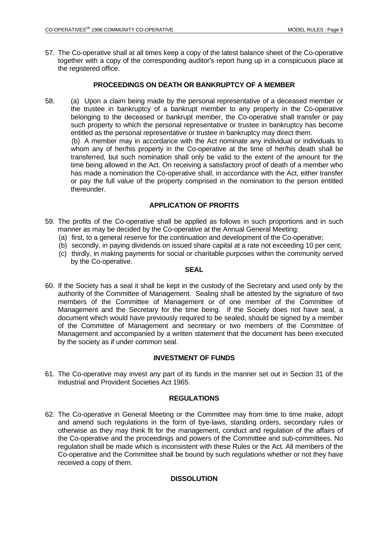57. The Co-operative shall at all times keep a copy of the latest balance sheet of the Co-operative together with a copy of the corresponding auditor's report hung up in a conspicuous place at the registered office.

## **PROCEEDINGS ON DEATH OR BANKRUPTCY OF A MEMBER**

58. (a) Upon a claim being made by the personal representative of a deceased member or the trustee in bankruptcy of a bankrupt member to any property in the Co-operative belonging to the deceased or bankrupt member, the Co-operative shall transfer or pay such property to which the personal representative or trustee in bankruptcy has become entitled as the personal representative or trustee in bankruptcy may direct them. (b) A member may in accordance with the Act nominate any individual or individuals to whom any of her/his property in the Co-operative at the time of her/his death shall be

transferred, but such nomination shall only be valid to the extent of the amount for the time being allowed in the Act. On receiving a satisfactory proof of death of a member who has made a nomination the Co-operative shall, in accordance with the Act, either transfer or pay the full value of the property comprised in the nomination to the person entitled thereunder.

# **APPLICATION OF PROFITS**

- 59. The profits of the Co-operative shall be applied as follows in such proportions and in such manner as may be decided by the Co-operative at the Annual General Meeting:
	- (a) first, to a general reserve for the continuation and development of the Co-operative;
	- (b) secondly, in paying dividends on issued share capital at a rate not exceeding 10 per cent;
	- (c) thirdly, in making payments for social or charitable purposes within the community served by the Co-operative.

#### **SEAL** SEAL SEAL SEAL SEAL SEAL

60. If the Society has a seal it shall be kept in the custody of the Secretary and used only by the authority of the Committee of Management. Sealing shall be attested by the signature of two members of the Committee of Management or of one member of the Committee of Management and the Secretary for the time being. If the Society does not have seal, a document which would have previously required to be sealed, should be signed by a member of the Committee of Management and secretary or two members of the Committee of Management and accompanied by a written statement that the document has been executed by the society as if under common seal.

## **INVESTMENT OF FUNDS**

61. The Co-operative may invest any part of its funds in the manner set out in Section 31 of the Industrial and Provident Societies Act 1965.

## **REGULATIONS**

62. The Co-operative in General Meeting or the Committee may from time to time make, adopt and amend such regulations in the form of bye-laws, standing orders, secondary rules or otherwise as they may think fit for the management, conduct and regulation of the affairs of the Co-operative and the proceedings and powers of the Committee and sub-committees. No regulation shall be made which is inconsistent with these Rules or the Act. All members of the Co-operative and the Committee shall be bound by such regulations whether or not they have received a copy of them.

## **DISSOLUTION**